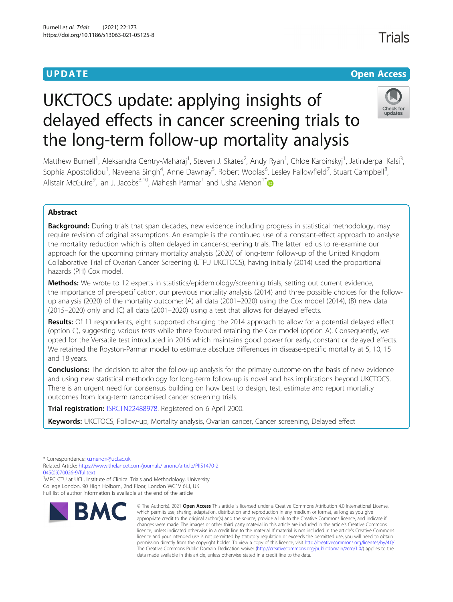# Trials

## **UPDATE CONSERVATION CONSERVATION**

# UKCTOCS update: applying insights of delayed effects in cancer screening trials to the long-term follow-up mortality analysis



Matthew Burnell<sup>1</sup>, Aleksandra Gentry-Maharaj<sup>1</sup>, Steven J. Skates<sup>2</sup>, Andy Ryan<sup>1</sup>, Chloe Karpinskyj<sup>1</sup>, Jatinderpal Kalsi<sup>3</sup> , Sophia Apostolidou<sup>1</sup>, Naveena Singh<sup>4</sup>, Anne Dawnay<sup>5</sup>, Robert Woolas<sup>6</sup>, Lesley Fallowfield<sup>7</sup>, Stuart Campbell<sup>8</sup> , Alistair McGuire<sup>9</sup>, Ian J. Jacobs<sup>3,10</sup>, Mahesh Parmar<sup>1</sup> and Usha Menon<sup>1\*</sup>

### Abstract

**Background:** During trials that span decades, new evidence including progress in statistical methodology, may require revision of original assumptions. An example is the continued use of a constant-effect approach to analyse the mortality reduction which is often delayed in cancer-screening trials. The latter led us to re-examine our approach for the upcoming primary mortality analysis (2020) of long-term follow-up of the United Kingdom Collaborative Trial of Ovarian Cancer Screening (LTFU UKCTOCS), having initially (2014) used the proportional hazards (PH) Cox model.

Methods: We wrote to 12 experts in statistics/epidemiology/screening trials, setting out current evidence, the importance of pre-specification, our previous mortality analysis (2014) and three possible choices for the followup analysis (2020) of the mortality outcome: (A) all data (2001–2020) using the Cox model (2014), (B) new data (2015–2020) only and (C) all data (2001–2020) using a test that allows for delayed effects.

Results: Of 11 respondents, eight supported changing the 2014 approach to allow for a potential delayed effect (option C), suggesting various tests while three favoured retaining the Cox model (option A). Consequently, we opted for the Versatile test introduced in 2016 which maintains good power for early, constant or delayed effects. We retained the Royston-Parmar model to estimate absolute differences in disease-specific mortality at 5, 10, 15 and 18 years.

**Conclusions:** The decision to alter the follow-up analysis for the primary outcome on the basis of new evidence and using new statistical methodology for long-term follow-up is novel and has implications beyond UKCTOCS. There is an urgent need for consensus building on how best to design, test, estimate and report mortality outcomes from long-term randomised cancer screening trials.

Trial registration: [ISRCTN22488978](https://www.isrctn.com/ISRCTN22488978). Registered on 6 April 2000.

Keywords: UKCTOCS, Follow-up, Mortality analysis, Ovarian cancer, Cancer screening, Delayed effect

\* Correspondence: [u.menon@ucl.ac.uk](mailto:u.menon@ucl.ac.uk)

<sup>1</sup>MRC CTU at UCL, Institute of Clinical Trials and Methodology, University College London, 90 High Holborn, 2nd Floor, London WC1V 6LJ, UK Full list of author information is available at the end of the article



<sup>©</sup> The Author(s), 2021 **Open Access** This article is licensed under a Creative Commons Attribution 4.0 International License, which permits use, sharing, adaptation, distribution and reproduction in any medium or format, as long as you give appropriate credit to the original author(s) and the source, provide a link to the Creative Commons licence, and indicate if changes were made. The images or other third party material in this article are included in the article's Creative Commons licence, unless indicated otherwise in a credit line to the material. If material is not included in the article's Creative Commons licence and your intended use is not permitted by statutory regulation or exceeds the permitted use, you will need to obtain permission directly from the copyright holder. To view a copy of this licence, visit [http://creativecommons.org/licenses/by/4.0/.](http://creativecommons.org/licenses/by/4.0/) The Creative Commons Public Domain Dedication waiver [\(http://creativecommons.org/publicdomain/zero/1.0/](http://creativecommons.org/publicdomain/zero/1.0/)) applies to the data made available in this article, unless otherwise stated in a credit line to the data.

Related Article: [https://www.thelancet.com/journals/lanonc/article/PIIS1470-2](https://www.thelancet.com/journals/lanonc/article/PIIS1470-2045(09)70026-9/fulltext) [045\(09\)70026-9/fulltext](https://www.thelancet.com/journals/lanonc/article/PIIS1470-2045(09)70026-9/fulltext)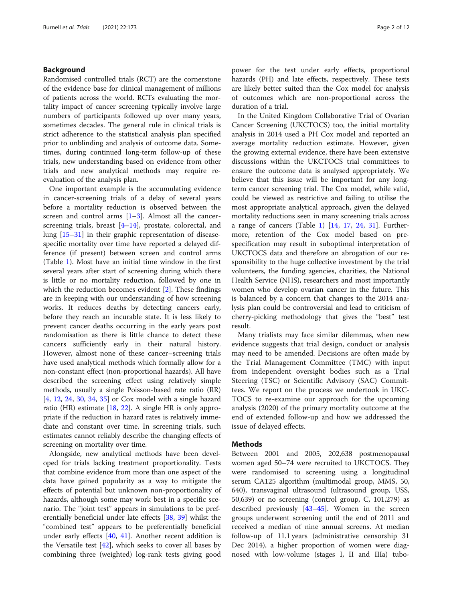#### Background

Randomised controlled trials (RCT) are the cornerstone of the evidence base for clinical management of millions of patients across the world. RCTs evaluating the mortality impact of cancer screening typically involve large numbers of participants followed up over many years, sometimes decades. The general rule in clinical trials is strict adherence to the statistical analysis plan specified prior to unblinding and analysis of outcome data. Sometimes, during continued long-term follow-up of these trials, new understanding based on evidence from other trials and new analytical methods may require reevaluation of the analysis plan.

One important example is the accumulating evidence in cancer-screening trials of a delay of several years before a mortality reduction is observed between the screen and control arms  $[1-3]$  $[1-3]$  $[1-3]$  $[1-3]$ . Almost all the cancerscreening trials, breast [\[4](#page-10-0)–[14\]](#page-10-0), prostate, colorectal, and lung [[15](#page-10-0)–[31](#page-10-0)] in their graphic representation of diseasespecific mortality over time have reported a delayed difference (if present) between screen and control arms (Table [1\)](#page-2-0). Most have an initial time window in the first several years after start of screening during which there is little or no mortality reduction, followed by one in which the reduction becomes evident [\[2](#page-10-0)]. These findings are in keeping with our understanding of how screening works. It reduces deaths by detecting cancers early, before they reach an incurable state. It is less likely to prevent cancer deaths occurring in the early years post randomisation as there is little chance to detect these cancers sufficiently early in their natural history. However, almost none of these cancer–screening trials have used analytical methods which formally allow for a non-constant effect (non-proportional hazards). All have described the screening effect using relatively simple methods, usually a single Poisson-based rate ratio (RR) [[4,](#page-10-0) [12,](#page-10-0) [24](#page-10-0), [30](#page-10-0), [34,](#page-11-0) [35\]](#page-11-0) or Cox model with a single hazard ratio (HR) estimate [\[18](#page-10-0), [22\]](#page-10-0). A single HR is only appropriate if the reduction in hazard rates is relatively immediate and constant over time. In screening trials, such estimates cannot reliably describe the changing effects of screening on mortality over time.

Alongside, new analytical methods have been developed for trials lacking treatment proportionality. Tests that combine evidence from more than one aspect of the data have gained popularity as a way to mitigate the effects of potential but unknown non-proportionality of hazards, although some may work best in a specific scenario. The "joint test" appears in simulations to be preferentially beneficial under late effects [[38,](#page-11-0) [39](#page-11-0)] whilst the "combined test" appears to be preferentially beneficial under early effects [\[40](#page-11-0), [41](#page-11-0)]. Another recent addition is the Versatile test  $[42]$  $[42]$ , which seeks to cover all bases by combining three (weighted) log-rank tests giving good power for the test under early effects, proportional hazards (PH) and late effects, respectively. These tests are likely better suited than the Cox model for analysis of outcomes which are non-proportional across the duration of a trial.

In the United Kingdom Collaborative Trial of Ovarian Cancer Screening (UKCTOCS) too, the initial mortality analysis in 2014 used a PH Cox model and reported an average mortality reduction estimate. However, given the growing external evidence, there have been extensive discussions within the UKCTOCS trial committees to ensure the outcome data is analysed appropriately. We believe that this issue will be important for any longterm cancer screening trial. The Cox model, while valid, could be viewed as restrictive and failing to utilise the most appropriate analytical approach, given the delayed mortality reductions seen in many screening trials across a range of cancers (Table [1](#page-2-0)) [[14,](#page-10-0) [17](#page-10-0), [24,](#page-10-0) [31](#page-10-0)]. Furthermore, retention of the Cox model based on prespecification may result in suboptimal interpretation of UKCTOCS data and therefore an abrogation of our responsibility to the huge collective investment by the trial volunteers, the funding agencies, charities, the National Health Service (NHS), researchers and most importantly women who develop ovarian cancer in the future. This is balanced by a concern that changes to the 2014 analysis plan could be controversial and lead to criticism of cherry-picking methodology that gives the "best" test result.

Many trialists may face similar dilemmas, when new evidence suggests that trial design, conduct or analysis may need to be amended. Decisions are often made by the Trial Management Committee (TMC) with input from independent oversight bodies such as a Trial Steering (TSC) or Scientific Advisory (SAC) Committees. We report on the process we undertook in UKC-TOCS to re-examine our approach for the upcoming analysis (2020) of the primary mortality outcome at the end of extended follow-up and how we addressed the issue of delayed effects.

#### Methods

Between 2001 and 2005, 202,638 postmenopausal women aged 50–74 were recruited to UKCTOCS. They were randomised to screening using a longitudinal serum CA125 algorithm (multimodal group, MMS, 50, 640), transvaginal ultrasound (ultrasound group, USS, 50,639) or no screening (control group, C, 101,279) as described previously [\[43](#page-11-0)–[45\]](#page-11-0). Women in the screen groups underwent screening until the end of 2011 and received a median of nine annual screens. At median follow-up of 11.1 years (administrative censorship 31 Dec 2014), a higher proportion of women were diagnosed with low-volume (stages I, II and IIIa) tubo-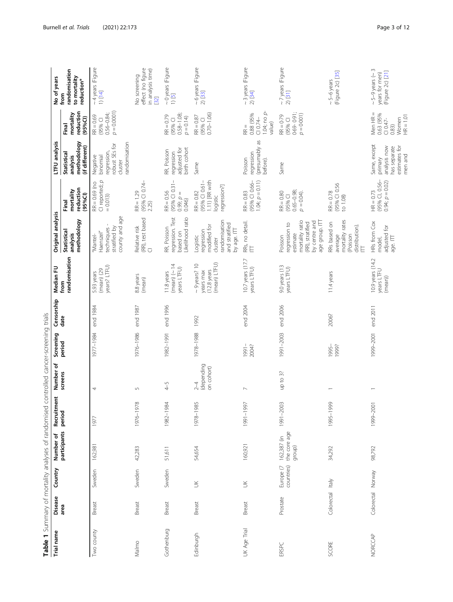<span id="page-2-0"></span>

| Trial name     | Disease<br>area   | Country                 | participants<br>Number of             | Recruitment<br>period | Number of<br>screens                | Screening<br>period | Censorship<br>date | Median FU<br>from                                                | Original analysis                                                                                              |                                                                            | LTFU analysis                                                                       |                                                                       | No of years<br>from                                               |
|----------------|-------------------|-------------------------|---------------------------------------|-----------------------|-------------------------------------|---------------------|--------------------|------------------------------------------------------------------|----------------------------------------------------------------------------------------------------------------|----------------------------------------------------------------------------|-------------------------------------------------------------------------------------|-----------------------------------------------------------------------|-------------------------------------------------------------------|
|                |                   |                         |                                       |                       |                                     |                     |                    | randomisation                                                    | methodology<br><b>Statistical</b><br>analysis                                                                  | reduction<br>mortality<br>(95%C)<br>Final                                  | methodology<br>(if different)<br>Statistical<br>analysis                            | reduction<br>mortality<br>(95%C)<br>Final                             | randomisation<br>to mortality<br>reduction*                       |
| Two county     | Breast            | Sweden                  | 162,981                               | 1977                  | 4                                   | 1977-1984           | end 1984           | years? LTFU)<br>$(mean)$ (29<br>5.93 years                       | county and age<br>stratified by<br>techniques<br>Haenszel"<br>"Mantel-                                         | $C$ reported; $p$<br>$RR = 0.69$ (no<br>$= 0.013$                          | andomisation<br>robust SEs for<br>regression,<br>Negative<br>binomial<br>cluster    | $p = 0.0001$<br>$0.56 - 0.84$ ;<br>$RR = 0.69$<br>(95% CI             | $~\sim$ 4 years (Figure<br>$1)$ [14]                              |
| Malmo          | Breast            | Sweden                  | 42,283                                | 1976-1978             | $\sqrt{2}$                          | 1976-1986           | end 1987           | 8.8 years<br>(mean)                                              | (RR), test based<br>Relative risk<br>$\overline{\cup}$                                                         | (95% CI 0.74-<br>$RR = 1.29$<br>2.25)                                      |                                                                                     |                                                                       | effect (no figure<br>in analysis time)<br>[32]<br>No screening    |
| Gothenburg     | Breast            | Sweden                  | 51,611                                | 1982-1984             | $4 - 5$                             | 1982-1991           | end 1996           | 11.8 years<br>(mean) $(\sim 14$<br>years LTFU)                   | regression. Test<br>Likelihood ratio<br>RR, Poisson<br>based on                                                | $RR = 0.56$<br>(95% CI 0.31-<br>$0.99; p =$<br>0.046                       | birth cohort<br>adjusted for<br>RR, Poisson<br>regression                           | $0.58 - 1.08$ ;<br>$RR = 0.79$<br>$p = 0.14$<br>(95% CI               | $\sim$ 0 years (Figure<br>1) [5]                                  |
| Edinburgh      | Breast            | $\leq$                  | 54,654                                | 1978-1985             | (depending<br>on cohort)<br>$2 - 4$ | 1978-1988           | 1992               | (mean) LTFU)<br>$\sim$ 9 years? 10<br>$(12.8$ years<br>years max | randomisation<br>and stratified<br>modified for<br>by age. ITT<br>regression<br>Logistic<br>cluster            | 1.11) [RR with<br>(95% CI 0.61-<br>regression?]<br>$RR = 0.82$<br>logistic | Same                                                                                | $0.70 - 1.06$<br>$RR = 0.87$<br>(95% CI                               | ~6years (Figure<br>$2)$ [33]                                      |
| UK Age Trial   | Breast            | $\leq$                  | 160,921                               | 1991-1997             | $\sim$                              | $-1991 -$<br>2004?  | end 2004           | 10.7 years (17.7<br>years LTFU)                                  | RRs, no detail.<br>È                                                                                           | $1.04; p = 0.11$<br>(95% CI 0.66-<br>$RR = 0.83$                           | (presumably as<br>regression<br>Poisson<br>before).                                 | 1.04; no $p$<br>0.88 (95%<br>$C10.74-$<br>value)<br>$R =$             | $\sim$ 3 years (Figure<br>$2)$ [34]                               |
| ERSPC          | Prostate          | Europe (7<br>countries) | the core age<br>162,387 (in<br>group) | 1991-2003             | up to 3?                            | 1991-2003           | end 2006           | 9.0 years (13<br>years LTFU)                                     | mortality ratio<br>age group. ITT<br>by centre and<br>(RR), stratified<br>regression to<br>estimate<br>Poisson | $0.65 - 0.98;$<br>$RR = 0.80$<br>$p = 0.04$ ).<br>(95% CI                  | Same                                                                                | $0.69 - 0.91$ ;<br>$p = 0.001$<br>$RR = 0.79$<br>(95% CI              | $\sim$ 7 years (Figure<br>$2)$ [31]                               |
| SCORE          | Colorectal Italy  |                         | 34,292                                | 1995-1999             |                                     | 1995-<br>1999?      | 2006?              | 11.4 years                                                       | mortality rates<br>RRs based on<br>distribution).<br>(Poisson<br>average<br>E                                  | (95% CI 0.56<br>$RR = 0.78$<br>to $1.08$ )                                 |                                                                                     |                                                                       | (Figuré 2c) [35]<br>$\sim$ 5-6 years                              |
| <b>NORCCAP</b> | Colorectal Norway |                         | 98,792                                | 1999-2001             |                                     | 1999-2001           | end 2011           | 10.9 years (14.2<br>years LTFU<br>(mean))                        | HRs from Cox<br>adjusted for<br>age. ITT<br>model,                                                             | (95% CI, 0.56-<br>$0.94; p = 0.02$<br>$HR = 0.73$                          | Same, except<br>analysis now<br>estimates for<br>has separate<br>men and<br>primary | Men $HR =$<br>0.63 (95%<br>Women<br>$HR = 1.01$<br>$C10.47-$<br>0.83) | $\sim$ 5-9 years ( $\sim$ 3<br>(Figure 2c) [21]<br>years for men) |

Table 1 Summary of mortality analyses of randomised controlled cancer-screening trials Table 1 Summary of mortality analyses of randomised controlled cancer-screening trials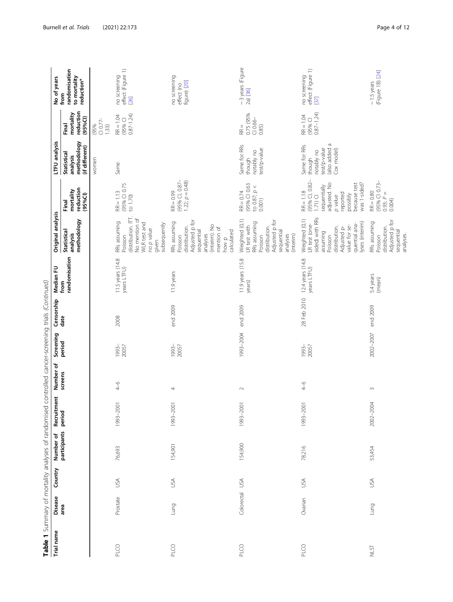| Trial name | Disease    | Country    | Number of           | Recruitment | Number of | Screening      | Censorship  | Median FU                        | Original analysis                                                                                                                                              |                                                                                                                                                | LTFU analysis                                                                       |                                            | No of years                                         |
|------------|------------|------------|---------------------|-------------|-----------|----------------|-------------|----------------------------------|----------------------------------------------------------------------------------------------------------------------------------------------------------------|------------------------------------------------------------------------------------------------------------------------------------------------|-------------------------------------------------------------------------------------|--------------------------------------------|-----------------------------------------------------|
|            | area       |            | participants period |             | screens   | period         | date        | randomisation<br>from            | methodology<br><b>Statistical</b><br>analysis                                                                                                                  | reduction<br>mortality<br>(95%C)<br>Final                                                                                                      | methodology<br>(if different)<br><b>Statistical</b><br>analysis                     | reduction<br>mortality<br>(95%C1)<br>Final | randomisation<br>to mortality<br>reduction*<br>from |
|            |            |            |                     |             |           |                |             |                                  |                                                                                                                                                                |                                                                                                                                                | women                                                                               | $C10.77-$<br>(95%<br>1.33)                 |                                                     |
| PLCO       | Prostate   | JSA        | 76,693              | 1993-2001   | $4 - 6$   | 1993-<br>2005? | 2008        | 11.5 years (14.8)<br>years LTFU) | distribution. ITT.<br>No mention of<br>RRs assuming<br><b>WLR</b> test and<br>subsequently<br>no p value<br>Poisson<br>given                                   | (95% CI 0.75<br>$RR = 1.13$<br>to 1.70)                                                                                                        | Same                                                                                | $0.87 - 1.24$<br>$RR = 1.04$<br>(95% Cl    | effect (Figure 1)<br>no screening<br>[26]           |
| PLCO       | Lung       | USA        | 154,901             | 1993-2001   | 4         | 2005?<br>1993- | end 2009    | 11.9 years                       | Adjusted p for<br>RRs assuming<br>(interim). No<br>distribution.<br>mention of<br>calculated<br>sequential<br>analyses<br>Poisson<br>how p                     | (95% CI, 0.87-<br>$1.22; p = 0.48$<br>$RR = 0.99$                                                                                              |                                                                                     |                                            | no screening<br>figure) [20]<br>effect (no          |
| PLCO       | Colorectal | <b>ASU</b> | 154,900             | 1993-2001   | $\sim$    | 1993-2004      | end 2009    | 11.9 years (15.8)<br>years)      | Weighted (0,1)<br>Adjusted p for<br>RRs assuming<br>LR test with<br>distribution.<br>sequential<br>(interim)<br>analyses<br>Poisson                            | (95% CI 0.63<br>to 0.87; $p <$<br>$RR = 0.74$<br>0.001)                                                                                        | Same for RRs<br>test/p-value<br>notably no<br>though                                | 0.75 (95%<br>$C10.66-$<br>$RR =$<br>0.85)  | $\sim$ 3 years (Figure<br>2a) [36]                  |
| PLCO       | Ovarian    | USA        | 78,216              | 1993-2001   | $^{4-6}$  | 1993-<br>2005? | 28 Feb 2010 | 12.4 years (14.8)<br>years LTFU) | sided) with RRs<br>Weighted (0,1)<br>lyses (interim)<br>LR test (one-<br>quential ana-<br>value for se-<br>distribution.<br>Adjusted p-<br>assuming<br>Poisson | (95% CI, 0.82-<br>was 1-sided?<br>adjusted. No<br>because test<br>sequentially<br>$RR = 1.18$<br>reported<br>possibly<br>p value<br>$1.71)$ CI | (also added a<br>Same for RRs<br>test/p-value<br>Cox model)<br>notably no<br>though | $0.87 - 1.24$<br>$RR = 1.04$<br>(95% CI    | effect (Figure 1)<br>[37]<br>no screening           |
| NLST       | Lung       | <b>ASU</b> | 53,454              | 2002-2004   | $\sim$    | 2002-2007      | end 2009    | 5.4 years<br>(mean)              | Adjusted p for<br>RRs assuming<br>distribution.<br>sequential<br>analyses.<br>Poisson                                                                          | (95% CI 0.73-<br>$RR = 0.80$<br>$0.93; P =$<br>0.004                                                                                           |                                                                                     |                                            | (Figure 1B) [24]<br>$\sim$ 1.5 years                |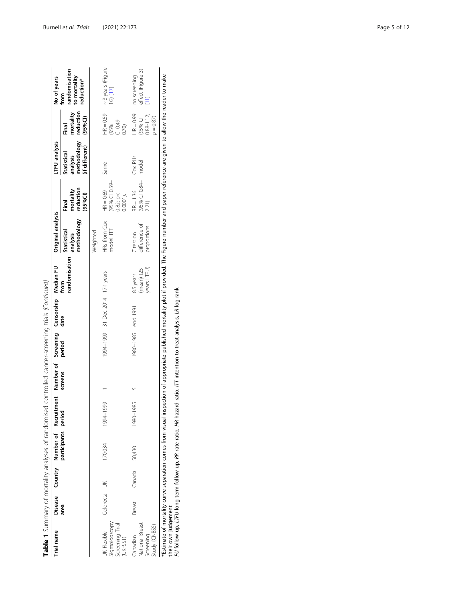| Trial name                                                        |               |        | Disease Country Number of Recruitm |           | ient Number of Screening Censorship Median FU<br>screens period date from |                    |                                  |                                             | Original analysis                                |                                                  | TFU analysis                                                       |                                                         | No of years<br>from                         |
|-------------------------------------------------------------------|---------------|--------|------------------------------------|-----------|---------------------------------------------------------------------------|--------------------|----------------------------------|---------------------------------------------|--------------------------------------------------|--------------------------------------------------|--------------------------------------------------------------------|---------------------------------------------------------|---------------------------------------------|
|                                                                   | area          |        | participants period                |           |                                                                           | period             |                                  | randomisation                               | methodology reduction<br>Statistical<br>analysis | mortality<br>(95%C)<br>Final                     | methodology reduction<br>(if different)<br>Statistical<br>analysis | mortality<br>(95%Cl)<br>Final                           | randomisation<br>to mortality<br>reduction* |
|                                                                   |               |        |                                    |           |                                                                           |                    |                                  |                                             | Weighted                                         |                                                  |                                                                    |                                                         |                                             |
| Sigmoidoscopy<br>Screening Trial<br>JK Flexible<br><b>UKFSST)</b> | Colorectal UK |        | 170034                             | 1994-1999 |                                                                           |                    | 1994-1999 31 Dec 2014 17-1 years |                                             | HRs from Cox<br>model. ITT                       | (95% CI 0.59-<br>$HR = 0.69$<br>0.82; p < 0.0001 | Same                                                               | $HR = 0.59$<br>(95%<br>Cl 0.49-<br>0.70                 | ~3 years (Figure<br>1G) [17]                |
| National Breast<br>Study (CNBSS)<br>Screening<br>Canadian         | Breast        | Canada | 50,430                             | 1980-1985 |                                                                           | 1980-1985 end 1991 |                                  | years LTFU)<br>$(mean)$ $(25)$<br>8.5 years | difference of<br>proportions<br>r test on        | $(95\% \text{ C}1 0.84 - 2.21)$<br>$RR = 1.36$   | Cox PH <sub>S</sub><br>model                                       | $HR = 0.99$<br>$0.88 - 1.12$ ;<br>(95% CI<br>$p = 0.87$ | no screening<br>effect (Figure 3)<br>[11]   |
|                                                                   |               |        |                                    |           |                                                                           | :<br>:             | $\ddot{ }$                       |                                             |                                                  |                                                  |                                                                    |                                                         |                                             |

Table 1 Summary of mortality analyses of randomised controlled cancer-screening trials (Continued) Table 1 Summary of mortality analyses of randomised controlled cancer-screening trials (Continued) \*Estimate of mortality curve separation comes from visual inspection of appropriate published mortality plot if provided. The Figure number and paper reference are given to allow the reader to make<br>their own judgement<br>FU \*Estimate of mortality curve separation comes from visual inspection of appropriate published mortality plot if provided. The Figure number and paper reference are given to allow the reader to make their own judgement

FU follow-up, LTFU long-term follow-up, RR rate ratio, HR hazard ratio, ITT intention to treat analysis, LR log-rank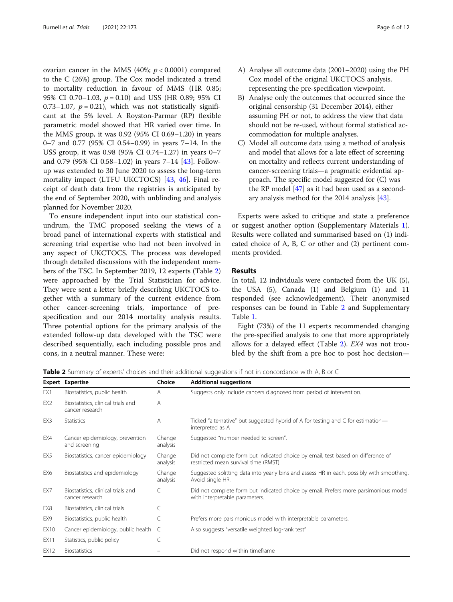<span id="page-5-0"></span>ovarian cancer in the MMS (40%;  $p < 0.0001$ ) compared to the C (26%) group. The Cox model indicated a trend to mortality reduction in favour of MMS (HR 0.85; 95% CI 0.70–1.03,  $p = 0.10$  and USS (HR 0.89; 95% CI 0.73–1.07,  $p = 0.21$ ), which was not statistically significant at the 5% level. A Royston-Parmar (RP) flexible parametric model showed that HR varied over time. In the MMS group, it was 0.92 (95% CI 0.69–1.20) in years 0–7 and 0.77 (95% CI 0.54–0.99) in years 7–14. In the USS group, it was 0.98 (95% CI 0.74–1.27) in years 0–7 and 0.79 (95% CI 0.58–1.02) in years 7–14 [\[43\]](#page-11-0). Followup was extended to 30 June 2020 to assess the long-term mortality impact (LTFU UKCTOCS) [[43,](#page-11-0) [46](#page-11-0)]. Final receipt of death data from the registries is anticipated by the end of September 2020, with unblinding and analysis planned for November 2020.

To ensure independent input into our statistical conundrum, the TMC proposed seeking the views of a broad panel of international experts with statistical and screening trial expertise who had not been involved in any aspect of UKCTOCS. The process was developed through detailed discussions with the independent members of the TSC. In September 2019, 12 experts (Table 2) were approached by the Trial Statistician for advice. They were sent a letter briefly describing UKCTOCS together with a summary of the current evidence from other cancer-screening trials, importance of prespecification and our 2014 mortality analysis results. Three potential options for the primary analysis of the extended follow-up data developed with the TSC were described sequentially, each including possible pros and cons, in a neutral manner. These were:

- A) Analyse all outcome data (2001–2020) using the PH Cox model of the original UKCTOCS analysis, representing the pre-specification viewpoint.
- B) Analyse only the outcomes that occurred since the original censorship (31 December 2014), either assuming PH or not, to address the view that data should not be re-used, without formal statistical accommodation for multiple analyses.
- C) Model all outcome data using a method of analysis and model that allows for a late effect of screening on mortality and reflects current understanding of cancer-screening trials—a pragmatic evidential approach. The specific model suggested for (C) was the RP model [\[47\]](#page-11-0) as it had been used as a secondary analysis method for the 2014 analysis [\[43\]](#page-11-0).

Experts were asked to critique and state a preference or suggest another option (Supplementary Materials [1](#page-9-0)). Results were collated and summarised based on (1) indicated choice of A, B, C or other and (2) pertinent comments provided.

#### Results

In total, 12 individuals were contacted from the UK (5), the USA (5), Canada (1) and Belgium (1) and 11 responded (see acknowledgement). Their anonymised responses can be found in Table 2 and Supplementary Table [1.](#page-9-0)

Eight (73%) of the 11 experts recommended changing the pre-specified analysis to one that more appropriately allows for a delayed effect (Table 2). EX4 was not troubled by the shift from a pre hoc to post hoc decision—

Table 2 Summary of experts' choices and their additional suggestions if not in concordance with A, B or C

|                 | <b>Expert Expertise</b>                               | Choice             | <b>Additional suggestions</b>                                                                                             |
|-----------------|-------------------------------------------------------|--------------------|---------------------------------------------------------------------------------------------------------------------------|
| EX1             | Biostatistics, public health                          | A                  | Suggests only include cancers diagnosed from period of intervention.                                                      |
| EX <sub>2</sub> | Biostatistics, clinical trials and<br>cancer research | A                  |                                                                                                                           |
| EX3             | <b>Statistics</b>                                     | Α                  | Ticked "alternative" but suggested hybrid of A for testing and C for estimation—<br>interpreted as A                      |
| EX4             | Cancer epidemiology, prevention<br>and screening      | Change<br>analysis | Suggested "number needed to screen".                                                                                      |
| EX5             | Biostatistics, cancer epidemiology                    | Change<br>analysis | Did not complete form but indicated choice by email, test based on difference of<br>restricted mean survival time (RMST). |
| EX6             | Biostatistics and epidemiology                        | Change<br>analysis | Suggested splitting data into yearly bins and assess HR in each, possibly with smoothing.<br>Avoid single HR.             |
| EX7             | Biostatistics, clinical trials and<br>cancer research | C                  | Did not complete form but indicated choice by email. Prefers more parsimonious model<br>with interpretable parameters.    |
| EX8             | Biostatistics, clinical trials                        |                    |                                                                                                                           |
| EX9             | Biostatistics, public health                          | C                  | Prefers more parsimonious model with interpretable parameters.                                                            |
| EX10            | Cancer epidemiology, public health C                  |                    | Also suggests "versatile weighted log-rank test"                                                                          |
| EX11            | Statistics, public policy                             |                    |                                                                                                                           |
| <b>EX12</b>     | <b>Biostatistics</b>                                  |                    | Did not respond within timeframe                                                                                          |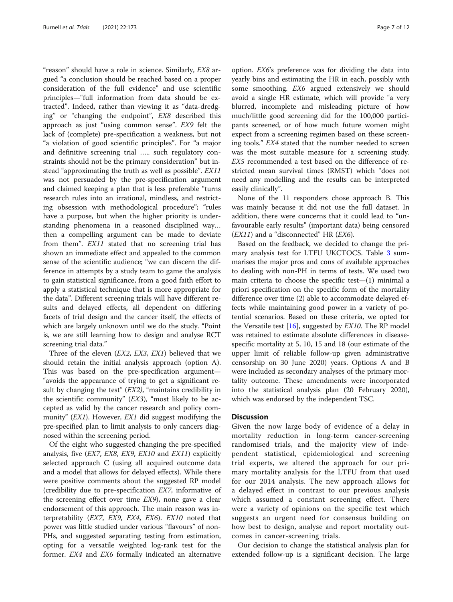"reason" should have a role in science. Similarly, EX8 argued "a conclusion should be reached based on a proper consideration of the full evidence" and use scientific principles—"full information from data should be extracted". Indeed, rather than viewing it as "data-dredging" or "changing the endpoint", EX8 described this approach as just "using common sense". EX9 felt the lack of (complete) pre-specification a weakness, but not "a violation of good scientific principles". For "a major and definitive screening trial ….. such regulatory constraints should not be the primary consideration" but instead "approximating the truth as well as possible". EX11 was not persuaded by the pre-specification argument and claimed keeping a plan that is less preferable "turns research rules into an irrational, mindless, and restricting obsession with methodological procedure"; "rules have a purpose, but when the higher priority is understanding phenomena in a reasoned disciplined way… then a compelling argument can be made to deviate from them". EX11 stated that no screening trial has shown an immediate effect and appealed to the common sense of the scientific audience; "we can discern the difference in attempts by a study team to game the analysis to gain statistical significance, from a good faith effort to apply a statistical technique that is more appropriate for the data". Different screening trials will have different results and delayed effects, all dependent on differing facets of trial design and the cancer itself, the effects of which are largely unknown until we do the study. "Point is, we are still learning how to design and analyse RCT screening trial data."

Three of the eleven (EX2, EX3, EX1) believed that we should retain the initial analysis approach (option A). This was based on the pre-specification argument— "avoids the appearance of trying to get a significant result by changing the test" (EX2), "maintains credibility in the scientific community"  $(EX3)$ , "most likely to be accepted as valid by the cancer research and policy community" (*EX1*). However, *EX1* did suggest modifying the pre-specified plan to limit analysis to only cancers diagnosed within the screening period.

Of the eight who suggested changing the pre-specified analysis, five (EX7, EX8, EX9, EX10 and EX11) explicitly selected approach C (using all acquired outcome data and a model that allows for delayed effects). While there were positive comments about the suggested RP model (credibility due to pre-specification EX7, informative of the screening effect over time EX9), none gave a clear endorsement of this approach. The main reason was interpretability ( $EX7$ ,  $EX9$ ,  $EX4$ ,  $EX6$ ).  $EX10$  noted that power was little studied under various "flavours" of non-PHs, and suggested separating testing from estimation, opting for a versatile weighted log-rank test for the former. EX4 and EX6 formally indicated an alternative

option. EX6's preference was for dividing the data into yearly bins and estimating the HR in each, possibly with some smoothing. EX6 argued extensively we should avoid a single HR estimate, which will provide "a very blurred, incomplete and misleading picture of how much/little good screening did for the 100,000 participants screened, or of how much future women might expect from a screening regimen based on these screening tools." EX4 stated that the number needed to screen was the most suitable measure for a screening study. EX5 recommended a test based on the difference of restricted mean survival times (RMST) which "does not need any modelling and the results can be interpreted easily clinically".

None of the 11 responders chose approach B. This was mainly because it did not use the full dataset. In addition, there were concerns that it could lead to "unfavourable early results" (important data) being censored  $(EX11)$  and a "disconnected" HR  $(EX6)$ .

Based on the feedback, we decided to change the primary analysis test for LTFU UKCTOCS. Table [3](#page-7-0) summarises the major pros and cons of available approaches to dealing with non-PH in terms of tests. We used two main criteria to choose the specific test $-(1)$  minimal a priori specification on the specific form of the mortality difference over time (2) able to accommodate delayed effects while maintaining good power in a variety of potential scenarios. Based on these criteria, we opted for the Versatile test  $[16]$  $[16]$ , suggested by *EX10*. The RP model was retained to estimate absolute differences in diseasespecific mortality at 5, 10, 15 and 18 (our estimate of the upper limit of reliable follow-up given administrative censorship on 30 June 2020) years. Options A and B were included as secondary analyses of the primary mortality outcome. These amendments were incorporated into the statistical analysis plan (20 February 2020), which was endorsed by the independent TSC.

#### **Discussion**

Given the now large body of evidence of a delay in mortality reduction in long-term cancer-screening randomised trials, and the majority view of independent statistical, epidemiological and screening trial experts, we altered the approach for our primary mortality analysis for the LTFU from that used for our 2014 analysis. The new approach allows for a delayed effect in contrast to our previous analysis which assumed a constant screening effect. There were a variety of opinions on the specific test which suggests an urgent need for consensus building on how best to design, analyse and report mortality outcomes in cancer-screening trials.

Our decision to change the statistical analysis plan for extended follow-up is a significant decision. The large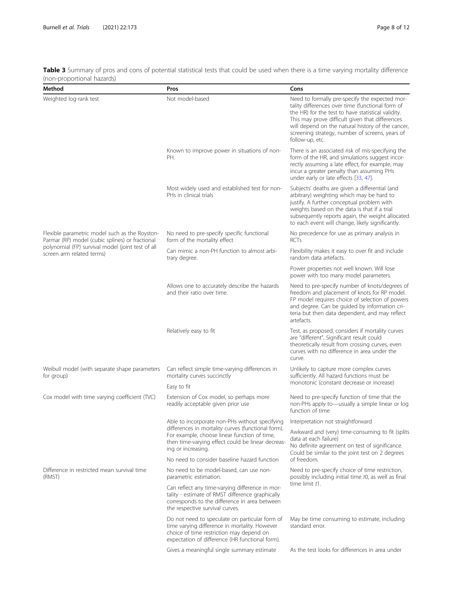| Method                                                                                            | Pros                                                                                                                                                                                           | Cons                                                                                                                                                                                                                                                                                                                                   |  |
|---------------------------------------------------------------------------------------------------|------------------------------------------------------------------------------------------------------------------------------------------------------------------------------------------------|----------------------------------------------------------------------------------------------------------------------------------------------------------------------------------------------------------------------------------------------------------------------------------------------------------------------------------------|--|
| Weighted log-rank test                                                                            | Not model-based                                                                                                                                                                                | Need to formally pre-specify the expected mor-<br>tality differences over time (functional form of<br>the HR) for the test to have statistical validity.<br>This may prove difficult given that differences<br>will depend on the natural history of the cancer,<br>screening strategy, number of screens, years of<br>follow-up, etc. |  |
|                                                                                                   | Known to improve power in situations of non-<br>PH.                                                                                                                                            | There is an associated risk of mis-specifying the<br>form of the HR, and simulations suggest incor-<br>rectly assuming a late effect, for example, may<br>incur a greater penalty than assuming PHs<br>under early or late effects [33, 47].                                                                                           |  |
|                                                                                                   | Most widely used and established test for non-<br>PHs in clinical trials                                                                                                                       | Subjects' deaths are given a differential (and<br>arbitrary) weighting which may be hard to<br>justify. A further conceptual problem with<br>weights based on the data is that if a trial<br>subsequently reports again, the weight allocated<br>to each event will change, likely significantly.                                      |  |
| Flexible parametric model such as the Royston-<br>Parmar (RP) model (cubic splines) or fractional | No need to pre-specify specific functional<br>form of the mortality effect                                                                                                                     | No precedence for use as primary analysis in<br><b>RCTs</b>                                                                                                                                                                                                                                                                            |  |
| polynomial (FP) survival model (joint test of all<br>screen arm related terms)                    | Can mimic a non-PH function to almost arbi-<br>trary degree.                                                                                                                                   | Flexibility makes it easy to over fit and include<br>random data artefacts.                                                                                                                                                                                                                                                            |  |
|                                                                                                   |                                                                                                                                                                                                | Power properties not well known. Will lose<br>power with too many model parameters.                                                                                                                                                                                                                                                    |  |
|                                                                                                   | Allows one to accurately describe the hazards<br>and their ratio over time.                                                                                                                    | Need to pre-specify number of knots/degrees of<br>freedom and placement of knots for RP model.<br>FP model requires choice of selection of powers<br>and degree. Can be guided by information cri-<br>teria but then data dependent, and may reflect<br>artefacts.                                                                     |  |
|                                                                                                   | Relatively easy to fit                                                                                                                                                                         | Test, as proposed, considers if mortality curves<br>are "different". Significant result could<br>theoretically result from crossing curves, even<br>curves with no difference in area under the<br>curve.                                                                                                                              |  |
| Weibull model (with separate shape parameters<br>for group)                                       | Can reflect simple time-varying differences in<br>mortality curves succinctly<br>Easy to fit                                                                                                   | Unlikely to capture more complex curves<br>sufficiently. All hazard functions must be<br>monotonic (constant decrease or increase)                                                                                                                                                                                                     |  |
| Cox model with time varying coefficient (TVC)                                                     | Extension of Cox model, so perhaps more<br>readily acceptable given prior use                                                                                                                  | Need to pre-specify function of time that the<br>non-PHs apply to-usually a simple linear or log<br>function of time                                                                                                                                                                                                                   |  |
|                                                                                                   | Able to incorporate non-PHs without specifying Interpretation not straightforward                                                                                                              |                                                                                                                                                                                                                                                                                                                                        |  |
|                                                                                                   | differences in mortality curves (functional form).<br>For example, choose linear function of time,<br>then time-varying effect could be linear decreas-<br>ing or increasing.                  | Awkward and (very) time-consuming to fit (splits<br>data at each failure)<br>No definite agreement on test of significance.<br>Could be similar to the joint test on 2 degrees                                                                                                                                                         |  |
|                                                                                                   | No need to consider baseline hazard function                                                                                                                                                   | of freedom.                                                                                                                                                                                                                                                                                                                            |  |
| Difference in restricted mean survival time<br>(RMST)                                             | No need to be model-based, can use non-<br>parametric estimation.                                                                                                                              | Need to pre-specify choice of time restriction,<br>possibly including initial time t0, as well as final                                                                                                                                                                                                                                |  |
|                                                                                                   | Can reflect any time-varying difference in mor-<br>tality - estimate of RMST difference graphically<br>corresponds to the difference in area between<br>the respective survival curves.        | time limit t1.                                                                                                                                                                                                                                                                                                                         |  |
|                                                                                                   | Do not need to speculate on particular form of<br>time varying difference in mortality. However<br>choice of time restriction may depend on<br>expectation of difference (HR functional form). | May be time consuming to estimate, including<br>standard error.                                                                                                                                                                                                                                                                        |  |
|                                                                                                   | Gives a meaningful single summary estimate                                                                                                                                                     | As the test looks for differences in area under                                                                                                                                                                                                                                                                                        |  |

<span id="page-7-0"></span>Table 3 Summary of pros and cons of potential statistical tests that could be used when there is a time varying mortality difference (non-proportional hazards)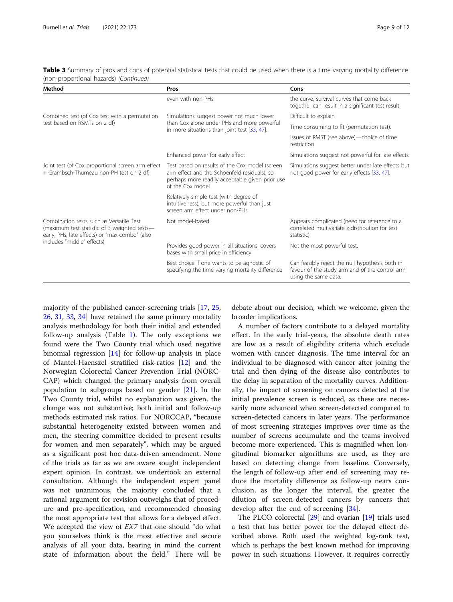| Table 3 Summary of pros and cons of potential statistical tests that could be used when there is a time varying mortality difference |  |  |
|--------------------------------------------------------------------------------------------------------------------------------------|--|--|
| (non-proportional hazards) (Continued)                                                                                               |  |  |

| Method                                                                                                                                     | Pros                                                                                                                                                                  | Cons                                                                                                                      |
|--------------------------------------------------------------------------------------------------------------------------------------------|-----------------------------------------------------------------------------------------------------------------------------------------------------------------------|---------------------------------------------------------------------------------------------------------------------------|
|                                                                                                                                            | even with non-PHs                                                                                                                                                     | the curve, survival curves that come back<br>together can result in a significant test result.                            |
| Combined test (of Cox test with a permutation                                                                                              | Simulations suggest power not much lower                                                                                                                              | Difficult to explain                                                                                                      |
| test based on RSMTs on 2 df)                                                                                                               | than Cox alone under PHs and more powerful<br>in more situations than joint test [33, 47].                                                                            | Time-consuming to fit (permutation test).                                                                                 |
|                                                                                                                                            |                                                                                                                                                                       | Issues of RMST (see above)—choice of time<br>restriction                                                                  |
|                                                                                                                                            | Enhanced power for early effect                                                                                                                                       | Simulations suggest not powerful for late effects                                                                         |
| Joint test (of Cox proportional screen arm effect<br>+ Grambsch-Thurneau non-PH test on 2 df)                                              | Test based on results of the Cox model (screen<br>arm effect and the Schoenfeld residuals), so<br>perhaps more readily acceptable given prior use<br>of the Cox model | Simulations suggest better under late effects but<br>not good power for early effects [33, 47].                           |
|                                                                                                                                            | Relatively simple test (with degree of<br>intuitiveness), but more powerful than just<br>screen arm effect under non-PHs                                              |                                                                                                                           |
| Combination tests such as Versatile Test<br>(maximum test statistic of 3 weighted tests-<br>early, PHs, late effects) or "max-combo" (also | Not model-based                                                                                                                                                       | Appears complicated (need for reference to a<br>correlated multivariate z-distribution for test<br>statistic)             |
| includes "middle" effects)                                                                                                                 | Provides good power in all situations, covers<br>bases with small price in efficiency                                                                                 | Not the most powerful test.                                                                                               |
|                                                                                                                                            | Best choice if one wants to be agnostic of<br>specifying the time varying mortality difference                                                                        | Can feasibly reject the null hypothesis both in<br>favour of the study arm and of the control arm<br>using the same data. |

majority of the published cancer-screening trials [\[17](#page-10-0), [25](#page-10-0), [26,](#page-10-0) [31,](#page-10-0) [33](#page-11-0), [34](#page-11-0)] have retained the same primary mortality analysis methodology for both their initial and extended follow-up analysis (Table [1\)](#page-2-0). The only exceptions we found were the Two County trial which used negative binomial regression [[14](#page-10-0)] for follow-up analysis in place of Mantel-Haenszel stratified risk-ratios [[12\]](#page-10-0) and the Norwegian Colorectal Cancer Prevention Trial (NORC-CAP) which changed the primary analysis from overall population to subgroups based on gender [\[21](#page-10-0)]. In the Two County trial, whilst no explanation was given, the change was not substantive; both initial and follow-up methods estimated risk ratios. For NORCCAP, "because substantial heterogeneity existed between women and men, the steering committee decided to present results for women and men separately", which may be argued as a significant post hoc data-driven amendment. None of the trials as far as we are aware sought independent expert opinion. In contrast, we undertook an external consultation. Although the independent expert panel was not unanimous, the majority concluded that a rational argument for revision outweighs that of procedure and pre-specification, and recommended choosing the most appropriate test that allows for a delayed effect. We accepted the view of *EX7* that one should "do what you yourselves think is the most effective and secure analysis of all your data, bearing in mind the current state of information about the field." There will be

debate about our decision, which we welcome, given the broader implications.

A number of factors contribute to a delayed mortality effect. In the early trial-years, the absolute death rates are low as a result of eligibility criteria which exclude women with cancer diagnosis. The time interval for an individual to be diagnosed with cancer after joining the trial and then dying of the disease also contributes to the delay in separation of the mortality curves. Additionally, the impact of screening on cancers detected at the initial prevalence screen is reduced, as these are necessarily more advanced when screen-detected compared to screen-detected cancers in later years. The performance of most screening strategies improves over time as the number of screens accumulate and the teams involved become more experienced. This is magnified when longitudinal biomarker algorithms are used, as they are based on detecting change from baseline. Conversely, the length of follow-up after end of screening may reduce the mortality difference as follow-up nears conclusion, as the longer the interval, the greater the dilution of screen-detected cancers by cancers that develop after the end of screening [[34\]](#page-11-0).

The PLCO colorectal [[29\]](#page-10-0) and ovarian [[19](#page-10-0)] trials used a test that has better power for the delayed effect described above. Both used the weighted log-rank test, which is perhaps the best known method for improving power in such situations. However, it requires correctly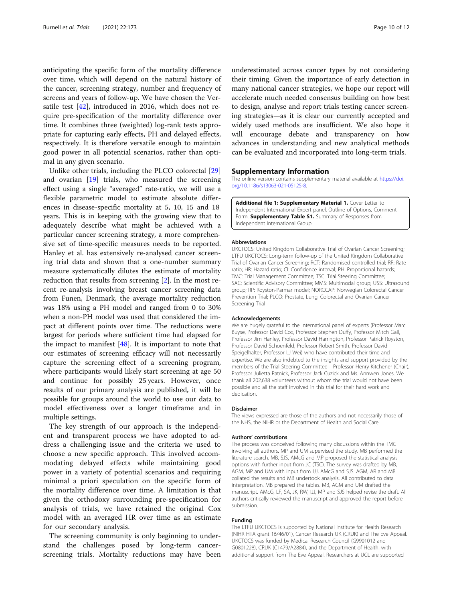<span id="page-9-0"></span>anticipating the specific form of the mortality difference over time, which will depend on the natural history of the cancer, screening strategy, number and frequency of screens and years of follow-up. We have chosen the Versatile test [[42](#page-11-0)], introduced in 2016, which does not require pre-specification of the mortality difference over time. It combines three (weighted) log-rank tests appropriate for capturing early effects, PH and delayed effects, respectively. It is therefore versatile enough to maintain good power in all potential scenarios, rather than optimal in any given scenario.

Unlike other trials, including the PLCO colorectal [[29](#page-10-0)] and ovarian [[19\]](#page-10-0) trials, who measured the screening effect using a single "averaged" rate-ratio, we will use a flexible parametric model to estimate absolute differences in disease-specific mortality at 5, 10, 15 and 18 years. This is in keeping with the growing view that to adequately describe what might be achieved with a particular cancer screening strategy, a more comprehensive set of time-specific measures needs to be reported. Hanley et al. has extensively re-analysed cancer screening trial data and shown that a one-number summary measure systematically dilutes the estimate of mortality reduction that results from screening [\[2](#page-10-0)]. In the most recent re-analysis involving breast cancer screening data from Funen, Denmark, the average mortality reduction was 18% using a PH model and ranged from 0 to 30% when a non-PH model was used that considered the impact at different points over time. The reductions were largest for periods where sufficient time had elapsed for the impact to manifest  $[48]$  $[48]$ . It is important to note that our estimates of screening efficacy will not necessarily capture the screening effect of a screening program, where participants would likely start screening at age 50 and continue for possibly 25 years. However, once results of our primary analysis are published, it will be possible for groups around the world to use our data to model effectiveness over a longer timeframe and in multiple settings.

The key strength of our approach is the independent and transparent process we have adopted to address a challenging issue and the criteria we used to choose a new specific approach. This involved accommodating delayed effects while maintaining good power in a variety of potential scenarios and requiring minimal a priori speculation on the specific form of the mortality difference over time. A limitation is that given the orthodoxy surrounding pre-specification for analysis of trials, we have retained the original Cox model with an averaged HR over time as an estimate for our secondary analysis.

The screening community is only beginning to understand the challenges posed by long-term cancerscreening trials. Mortality reductions may have been underestimated across cancer types by not considering their timing. Given the importance of early detection in many national cancer strategies, we hope our report will accelerate much needed consensus building on how best to design, analyse and report trials testing cancer screening strategies—as it is clear our currently accepted and widely used methods are insufficient. We also hope it will encourage debate and transparency on how advances in understanding and new analytical methods can be evaluated and incorporated into long-term trials.

#### Supplementary Information

The online version contains supplementary material available at [https://doi.](https://doi.org/10.1186/s13063-021-05125-8) [org/10.1186/s13063-021-05125-8.](https://doi.org/10.1186/s13063-021-05125-8)

Additional file 1: Supplementary Material 1. Cover Letter to Independent International Expert panel, Outline of Options, Comment Form. Supplementary Table S1. Summary of Responses from Independent International Group.

#### Abbreviations

UKCTOCS: United Kingdom Collaborative Trial of Ovarian Cancer Screening; LTFU UKCTOCS: Long-term follow-up of the United Kingdom Collaborative Trial of Ovarian Cancer Screening; RCT: Randomised controlled trial; RR: Rate ratio; HR: Hazard ratio; CI: Confidence interval; PH: Proportional hazards; TMC: Trial Management Committee; TSC: Trial Steering Committee; SAC: Scientific Advisory Committee; MMS: Multimodal group; USS: Ultrasound group; RP: Royston-Parmar model; NORCCAP: Norwegian Colorectal Cancer Prevention Trial; PLCO: Prostate, Lung, Colorectal and Ovarian Cancer Screening Trial

#### Acknowledgements

We are hugely grateful to the international panel of experts (Professor Marc Buyse, Professor David Cox, Professor Stephen Duffy, Professor Mitch Gail, Professor Jim Hanley, Professor David Harrington, Professor Patrick Royston, Professor David Schoenfeld, Professor Robert Smith, Professor David Speigelhalter, Professor LJ Wei) who have contributed their time and expertise. We are also indebted to the insights and support provided by the members of the Trial Steering Committee—Professor Henry Kitchener (Chair), Professor Julietta Patnick, Professor Jack Cuzick and Ms. Annwen Jones. We thank all 202,638 volunteers without whom the trial would not have been possible and all the staff involved in this trial for their hard work and dedication.

#### Disclaimer

The views expressed are those of the authors and not necessarily those of the NHS, the NIHR or the Department of Health and Social Care.

#### Authors' contributions

The process was conceived following many discussions within the TMC involving all authors. MP and UM supervised the study. MB performed the literature search. MB, SJS, AMcG and MP proposed the statistical analysis options with further input from JC (TSC). The survey was drafted by MB, AGM, MP and UM with input from IJJ, AMcG and SJS. AGM, AR and MB collated the results and MB undertook analysis. All contributed to data interpretation. MB prepared the tables. MB, AGM and UM drafted the manuscript. AMcG, LF, SA, JK, RW, IJJ, MP and SJS helped revise the draft. All authors critically reviewed the manuscript and approved the report before submission.

#### Funding

The LTFU UKCTOCS is supported by National Institute for Health Research (NIHR HTA grant 16/46/01), Cancer Research UK (CRUK) and The Eve Appeal. UKCTOCS was funded by Medical Research Council (G9901012 and G0801228), CRUK (C1479/A2884), and the Department of Health, with additional support from The Eve Appeal. Researchers at UCL are supported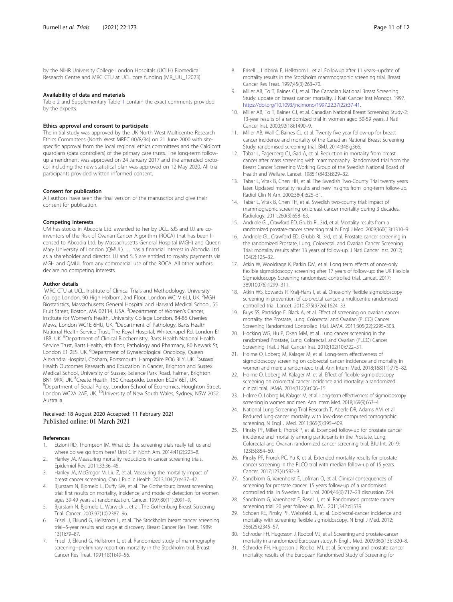<span id="page-10-0"></span>by the NIHR University College London Hospitals (UCLH) Biomedical Research Centre and MRC CTU at UCL core funding (MR\_UU\_12023).

#### Availability of data and materials

Table [2](#page-5-0) and Supplementary Table [1](#page-9-0) contain the exact comments provided by the experts.

#### Ethics approval and consent to participate

The initial study was approved by the UK North West Multicentre Research Ethics Committees (North West MREC 00/8/34) on 21 June 2000 with sitespecific approval from the local regional ethics committees and the Caldicott guardians (data controllers) of the primary care trusts. The long-term followup amendment was approved on 24 January 2017 and the amended protocol including the new statistical plan was approved on 12 May 2020. All trial participants provided written informed consent.

#### Consent for publication

All authors have seen the final version of the manuscript and give their consent for publication.

#### Competing interests

UM has stocks in Abcodia Ltd. awarded to her by UCL. SJS and IJJ are coinventors of the Risk of Ovarian Cancer Algorithm (ROCA) that has been licensed to Abcodia Ltd. by Massachusetts General Hospital (MGH) and Queen Mary University of London (QMUL). IJJ has a financial interest in Abcodia Ltd as a shareholder and director. IJJ and SJS are entitled to royalty payments via MGH and QMUL from any commercial use of the ROCA. All other authors declare no competing interests.

#### Author details

<sup>1</sup>MRC CTU at UCL, Institute of Clinical Trials and Methodology, University College London, 90 High Holborn, 2nd Floor, London WC1V 6LJ, UK. <sup>2</sup>MGH Biostatistics, Massachusetts General Hospital and Harvard Medical School, 55 Fruit Street, Boston, MA 02114, USA. <sup>3</sup>Department of Women's Cancer, Institute for Women's Health, University College London, 84-86 Chenies Mews, London WC1E 6HU, UK. <sup>4</sup>Department of Pathology, Barts Health National Health Service Trust, The Royal Hospital, Whitechapel Rd, London E1 1BB, UK.<sup>5</sup> Department of Clinical Biochemistry, Barts Health National Health Service Trust, Barts Health, 4th floor, Pathology and Pharmacy, 80 Newark St, London E1 2ES, UK. <sup>6</sup>Department of Gynaecological Oncology, Queen Alexandra Hospital, Cosham, Portsmouth, Hampshire PO6 3LY, UK. <sup>7</sup>Sussex Health Outcomes Research and Education in Cancer, Brighton and Sussex Medical School, University of Sussex, Science Park Road, Falmer, Brighton BN1 9RX, UK. <sup>8</sup>Create Health, 150 Cheapside, London EC2V 6ET, UK.<br><sup>9</sup>Denartment of Social Policy, London School of Economics, Hough <sup>9</sup>Department of Social Policy, London School of Economics, Houghton Street, London WC2A 2AE, UK. <sup>10</sup>University of New South Wales, Sydney, NSW 2052, Australia.

#### Received: 18 August 2020 Accepted: 11 February 2021 Published online: 01 March 2021

#### References

- Etzioni RD, Thompson IM. What do the screening trials really tell us and where do we go from here? Urol Clin North Am. 2014;41(2):223–8.
- 2. Hanley JA. Measuring mortality reductions in cancer screening trials. Epidemiol Rev. 2011;33:36–45.
- 3. Hanley JA, McGregor M, Liu Z, et al. Measuring the mortality impact of breast cancer screening. Can J Public Health. 2013;104(7):e437–42.
- 4. Bjurstam N, Bjorneld L, Duffy SW, et al. The Gothenburg breast screening trial: first results on mortality, incidence, and mode of detection for women ages 39-49 years at randomization. Cancer. 1997;80(11):2091–9.
- 5. Bjurstam N, Bjorneld L, Warwick J, et al. The Gothenburg Breast Screening Trial. Cancer. 2003;97(10):2387–96.
- 6. Frisell J, Eklund G, Hellstrom L, et al. The Stockholm breast cancer screening trial--5-year results and stage at discovery. Breast Cancer Res Treat. 1989; 13(1):79–87.
- 7. Frisell J, Eklund G, Hellstrom L, et al. Randomized study of mammography screening--preliminary report on mortality in the Stockholm trial. Breast Cancer Res Treat. 1991;18(1):49–56.
- 8. Frisell J, Lidbrink E, Hellstrom L, et al. Followup after 11 years--update of mortality results in the Stockholm mammographic screening trial. Breast
- Cancer Res Treat. 1997;45(3):263–70. Miller AB, To T, Baines CJ, et al. The Canadian National Breast Screening Study: update on breast cancer mortality. J Natl Cancer Inst Monogr. 1997. [https://doi.org/10.1093/jncimono/1997.22.37\(22\):37-41](https://doi.org/10.1093/jncimono/1997.22.37(22):37-41).
- 10. Miller AB, To T, Baines CJ, et al. Canadian National Breast Screening Study-2: 13-year results of a randomized trial in women aged 50-59 years. J Natl Cancer Inst. 2000;92(18):1490–9.
- 11. Miller AB, Wall C, Baines CJ, et al. Twenty five year follow-up for breast cancer incidence and mortality of the Canadian National Breast Screening Study: randomised screening trial. BMJ. 2014;348:g366.
- 12. Tabar L, Fagerberg CJ, Gad A, et al. Reduction in mortality from breast cancer after mass screening with mammography. Randomised trial from the Breast Cancer Screening Working Group of the Swedish National Board of Health and Welfare. Lancet. 1985;1(8433):829–32.
- 13. Tabar L, Vitak B, Chen HH, et al. The Swedish Two-County Trial twenty years later. Updated mortality results and new insights from long-term follow-up. Radiol Clin N Am. 2000;38(4):625–51.
- 14. Tabar L, Vitak B, Chen TH, et al. Swedish two-county trial: impact of mammographic screening on breast cancer mortality during 3 decades. Radiology. 2011;260(3):658–63.
- 15. Andriole GL, Crawford ED, Grubb RL 3rd, et al. Mortality results from a randomized prostate-cancer screening trial. N Engl J Med. 2009;360(13):1310–9.
- 16. Andriole GL, Crawford ED, Grubb RL 3rd, et al. Prostate cancer screening in the randomized Prostate, Lung, Colorectal, and Ovarian Cancer Screening Trial: mortality results after 13 years of follow-up. J Natl Cancer Inst. 2012; 104(2):125–32.
- 17. Atkin W, Wooldrage K, Parkin DM, et al. Long term effects of once-only flexible sigmoidoscopy screening after 17 years of follow-up: the UK Flexible Sigmoidoscopy Screening randomised controlled trial. Lancet. 2017; 389(10076):1299–311.
- 18. Atkin WS, Edwards R, Kralj-Hans I, et al. Once-only flexible sigmoidoscopy screening in prevention of colorectal cancer: a multicentre randomised controlled trial. Lancet. 2010;375(9726):1624–33.
- 19. Buys SS, Partridge E, Black A, et al. Effect of screening on ovarian cancer mortality: the Prostate, Lung, Colorectal and Ovarian (PLCO) Cancer Screening Randomized Controlled Trial. JAMA. 2011;305(22):2295–303.
- 20. Hocking WG, Hu P, Oken MM, et al. Lung cancer screening in the randomized Prostate, Lung, Colorectal, and Ovarian (PLCO) Cancer Screening Trial. J Natl Cancer Inst. 2010;102(10):722–31.
- 21. Holme O, Loberg M, Kalager M, et al. Long-term effectiveness of sigmoidoscopy screening on colorectal cancer incidence and mortality in women and men: a randomized trial. Ann Intern Med. 2018;168(11):775–82.
- 22. Holme O, Loberg M, Kalager M, et al. Effect of flexible sigmoidoscopy screening on colorectal cancer incidence and mortality: a randomized clinical trial. JAMA. 2014;312(6):606–15.
- 23. Holme O, Loberg M, Kalager M, et al. Long-term effectiveness of sigmoidoscopy screening in women and men. Ann Intern Med. 2018;169(9):663–4.
- 24. National Lung Screening Trial Research T, Aberle DR, Adams AM, et al. Reduced lung-cancer mortality with low-dose computed tomographic screening. N Engl J Med. 2011;365(5):395–409.
- 25. Pinsky PF, Miller E, Prorok P, et al. Extended follow-up for prostate cancer incidence and mortality among participants in the Prostate, Lung, Colorectal and Ovarian randomized cancer screening trial. BJU Int. 2019; 123(5):854–60.
- 26. Pinsky PF, Prorok PC, Yu K, et al. Extended mortality results for prostate cancer screening in the PLCO trial with median follow-up of 15 years. Cancer. 2017;123(4):592–9.
- 27. Sandblom G, Varenhorst E, Lofman O, et al. Clinical consequences of screening for prostate cancer: 15 years follow-up of a randomised controlled trial in Sweden. Eur Urol. 2004;46(6):717–23 discussion 724.
- 28. Sandblom G, Varenhorst E, Rosell J, et al. Randomised prostate cancer screening trial: 20 year follow-up. BMJ. 2011;342:d1539.
- 29. Schoen RE, Pinsky PF, Weissfeld JL, et al. Colorectal-cancer incidence and mortality with screening flexible sigmoidoscopy. N Engl J Med. 2012; 366(25):2345–57.
- 30. Schroder FH, Hugosson J, Roobol MJ, et al. Screening and prostate-cancer mortality in a randomized European study. N Engl J Med. 2009;360(13):1320–8.
- 31. Schroder FH, Hugosson J, Roobol MJ, et al. Screening and prostate cancer mortality: results of the European Randomised Study of Screening for